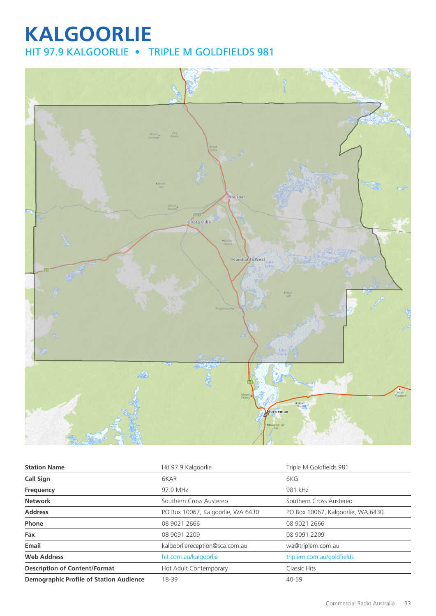# **KALGOORLIE** HIT 97.9 KALGOORLIE • TRIPLE M GOLDFIELDS 981



| <b>Station Name</b>                            | Hit 97.9 Kalgoorlie               | Triple M Goldfields 981           |
|------------------------------------------------|-----------------------------------|-----------------------------------|
| <b>Call Sign</b>                               | 6KAR                              | 6KG                               |
| Frequency                                      | 97.9 MHz                          | 981 kHz                           |
| <b>Network</b>                                 | Southern Cross Austereo           | Southern Cross Austereo           |
| <b>Address</b>                                 | PO Box 10067, Kalgoorlie, WA 6430 | PO Box 10067, Kalgoorlie, WA 6430 |
| Phone                                          | 08 9021 2666                      | 08 9021 2666                      |
| Fax                                            | 08 9091 2209                      | 08 9091 2209                      |
| Email                                          | kalgoorliereception@sca.com.au    | wa@triplem.com.au                 |
| <b>Web Address</b>                             | hit.com.au/kalgoorlie             | triplem.com.au/goldfields         |
| <b>Description of Content/Format</b>           | Hot Adult Contemporary            | Classic Hits                      |
| <b>Demographic Profile of Station Audience</b> | 18-39                             | $40 - 59$                         |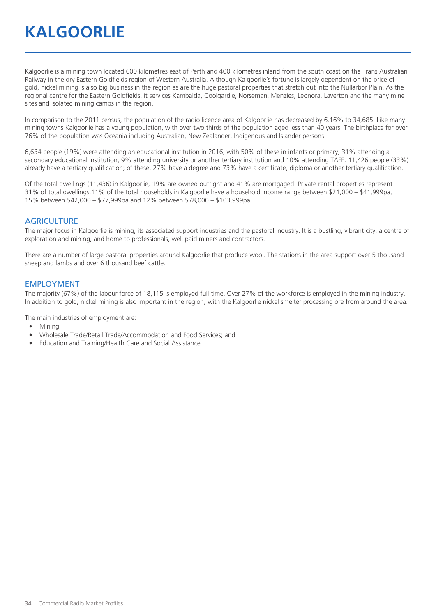# **KALGOORLIE**

Kalgoorlie is a mining town located 600 kilometres east of Perth and 400 kilometres inland from the south coast on the Trans Australian Railway in the dry Eastern Goldfields region of Western Australia. Although Kalgoorlie's fortune is largely dependent on the price of gold, nickel mining is also big business in the region as are the huge pastoral properties that stretch out into the Nullarbor Plain. As the regional centre for the Eastern Goldfields, it services Kambalda, Coolgardie, Norseman, Menzies, Leonora, Laverton and the many mine sites and isolated mining camps in the region.

In comparison to the 2011 census, the population of the radio licence area of Kalgoorlie has decreased by 6.16% to 34,685. Like many mining towns Kalgoorlie has a young population, with over two thirds of the population aged less than 40 years. The birthplace for over 76% of the population was Oceania including Australian, New Zealander, Indigenous and Islander persons.

6,634 people (19%) were attending an educational institution in 2016, with 50% of these in infants or primary, 31% attending a secondary educational institution, 9% attending university or another tertiary institution and 10% attending TAFE. 11,426 people (33%) already have a tertiary qualification; of these, 27% have a degree and 73% have a certificate, diploma or another tertiary qualification.

Of the total dwellings (11,436) in Kalgoorlie, 19% are owned outright and 41% are mortgaged. Private rental properties represent 31% of total dwellings.11% of the total households in Kalgoorlie have a household income range between \$21,000 – \$41,999pa, 15% between \$42,000 – \$77,999pa and 12% between \$78,000 – \$103,999pa.

#### **AGRICULTURE**

The major focus in Kalgoorlie is mining, its associated support industries and the pastoral industry. It is a bustling, vibrant city, a centre of exploration and mining, and home to professionals, well paid miners and contractors.

There are a number of large pastoral properties around Kalgoorlie that produce wool. The stations in the area support over 5 thousand sheep and lambs and over 6 thousand beef cattle.

#### EMPLOYMENT

The majority (67%) of the labour force of 18,115 is employed full time. Over 27% of the workforce is employed in the mining industry. In addition to gold, nickel mining is also important in the region, with the Kalgoorlie nickel smelter processing ore from around the area.

The main industries of employment are:

- Mining;
- Wholesale Trade/Retail Trade/Accommodation and Food Services; and
- Education and Training/Health Care and Social Assistance.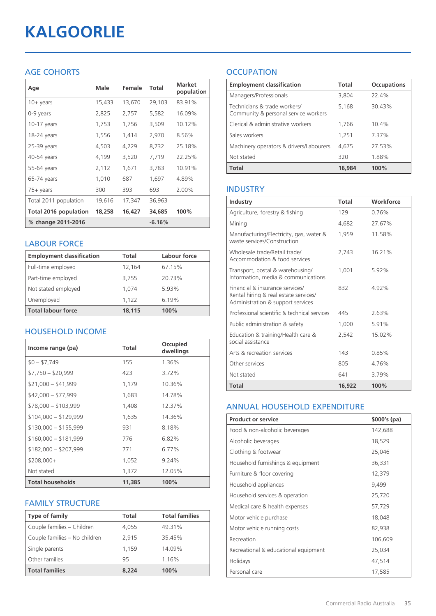# **KALGOORLIE**

# AGE COHORTS

| Age                          | Male   | Female | Total    | <b>Market</b><br>population |
|------------------------------|--------|--------|----------|-----------------------------|
| $10 + \gamma$ ears           | 15,433 | 13,670 | 29,103   | 83.91%                      |
| 0-9 years                    | 2,825  | 2,757  | 5,582    | 16.09%                      |
| $10-17$ years                | 1,753  | 1,756  | 3,509    | 10.12%                      |
| 18-24 years                  | 1,556  | 1,414  | 2,970    | 8.56%                       |
| 25-39 years                  | 4,503  | 4,229  | 8,732    | 25.18%                      |
| 40-54 years                  | 4,199  | 3,520  | 7,719    | 22.25%                      |
| 55-64 years                  | 2,112  | 1,671  | 3,783    | 10.91%                      |
| 65-74 years                  | 1,010  | 687    | 1,697    | 4.89%                       |
| 75+ years                    | 300    | 393    | 693      | 2.00%                       |
| Total 2011 population        | 19,616 | 17,347 | 36,963   |                             |
| <b>Total 2016 population</b> | 18,258 | 16,427 | 34,685   | 100%                        |
| % change 2011-2016           |        |        | $-6.16%$ |                             |

### LABOUR FORCE

| <b>Employment classification</b> | Total  | Labour force |
|----------------------------------|--------|--------------|
| Full-time employed               | 12,164 | 67.15%       |
| Part-time employed               | 3,755  | 20.73%       |
| Not stated employed              | 1.074  | 5.93%        |
| Unemployed                       | 1,122  | 6.19%        |
| <b>Total labour force</b>        | 18.115 | 100%         |

## HOUSEHOLD INCOME

| Income range (pa)       | <b>Total</b> | Occupied<br>dwellings |
|-------------------------|--------------|-----------------------|
| $$0 - $7,749$           | 155          | 1.36%                 |
| $$7,750 - $20,999$      | 423          | 3.72%                 |
| $$21,000 - $41,999$     | 1,179        | 10.36%                |
| $$42,000 - $77,999$     | 1,683        | 14.78%                |
| $$78,000 - $103,999$    | 1,408        | 12.37%                |
| $$104,000 - $129,999$   | 1,635        | 14.36%                |
| $$130,000 - $155,999$   | 931          | 8.18%                 |
| $$160,000 - $181,999$   | 776          | 6.82%                 |
| $$182,000 - $207,999$   | 771          | 6.77%                 |
| $$208,000+$             | 1,052        | 9.24%                 |
| Not stated              | 1,372        | 12.05%                |
| <b>Total households</b> | 11,385       | 100%                  |

## FAMILY STRUCTURE

| <b>Type of family</b>         | <b>Total</b> | <b>Total families</b> |
|-------------------------------|--------------|-----------------------|
| Couple families - Children    | 4,055        | 49.31%                |
| Couple families - No children | 2.915        | 35.45%                |
| Single parents                | 1.159        | 14.09%                |
| Other families                | 95           | 1.16%                 |
| <b>Total families</b>         | 8.224        | 100%                  |

# **OCCUPATION**

| <b>Employment classification</b>                                     | <b>Total</b> | <b>Occupations</b> |
|----------------------------------------------------------------------|--------------|--------------------|
| Managers/Professionals                                               | 3,804        | 22.4%              |
| Technicians & trade workers/<br>Community & personal service workers | 5,168        | 30.43%             |
| Clerical & administrative workers                                    | 1,766        | 10.4%              |
| Sales workers                                                        | 1,251        | 7.37%              |
| Machinery operators & drivers/Labourers                              | 4,675        | 27.53%             |
| Not stated                                                           | 320          | 1.88%              |
| <b>Total</b>                                                         | 16,984       | 100%               |

### INDUSTRY

| Industry                                                                                                      | Total  | Workforce |
|---------------------------------------------------------------------------------------------------------------|--------|-----------|
| Agriculture, forestry & fishing                                                                               | 129    | 0.76%     |
| Mining                                                                                                        | 4,682  | 27.67%    |
| Manufacturing/Electricity, gas, water &<br>waste services/Construction                                        | 1,959  | 11.58%    |
| Wholesale trade/Retail trade/<br>Accommodation & food services                                                | 2,743  | 16.21%    |
| Transport, postal & warehousing/<br>Information, media & communications                                       | 1,001  | 5.92%     |
| Financial & insurance services/<br>Rental hiring & real estate services/<br>Administration & support services | 832    | 492%      |
| Professional scientific & technical services                                                                  | 445    | 263%      |
| Public administration & safety                                                                                | 1,000  | 5.91%     |
| Education & training/Health care &<br>social assistance                                                       | 2.542  | 15.02%    |
| Arts & recreation services                                                                                    | 143    | 0.85%     |
| Other services                                                                                                | 805    | 4.76%     |
| Not stated                                                                                                    | 641    | 3.79%     |
| Total                                                                                                         | 16,922 | 100%      |

#### ANNUAL HOUSEHOLD EXPENDITURE

| <b>Product or service</b>            | $$000's$ (pa) |
|--------------------------------------|---------------|
| Food & non-alcoholic beverages       | 142,688       |
| Alcoholic beverages                  | 18,529        |
| Clothing & footwear                  | 25,046        |
| Household furnishings & equipment    | 36,331        |
| Furniture & floor covering           | 12,379        |
| Household appliances                 | 9,499         |
| Household services & operation       | 25,720        |
| Medical care & health expenses       | 57,729        |
| Motor vehicle purchase               | 18,048        |
| Motor vehicle running costs          | 82,938        |
| Recreation                           | 106,609       |
| Recreational & educational equipment | 25,034        |
| Holidays                             | 47,514        |
| Personal care                        | 17,585        |